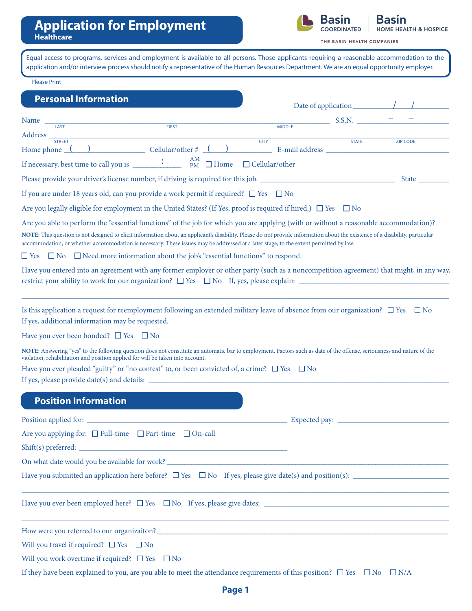

THE BASIN HEALTH COMPANIES

| <b>Please Print</b>                                                                                                                                                                   |                                                                                                              |                                                                                                                                                                                                                                                                                                                                                                                                                                                                                                                                                                             |       |
|---------------------------------------------------------------------------------------------------------------------------------------------------------------------------------------|--------------------------------------------------------------------------------------------------------------|-----------------------------------------------------------------------------------------------------------------------------------------------------------------------------------------------------------------------------------------------------------------------------------------------------------------------------------------------------------------------------------------------------------------------------------------------------------------------------------------------------------------------------------------------------------------------------|-------|
| <b>Personal Information</b>                                                                                                                                                           |                                                                                                              | Date of application $\sqrt{1 + \sqrt{1 + \cdots + 1}}$                                                                                                                                                                                                                                                                                                                                                                                                                                                                                                                      |       |
| Name $\frac{1}{\sqrt{1.45}}$                                                                                                                                                          |                                                                                                              | $\frac{1}{\sqrt{2}}$ S.S.N. $\frac{1}{\sqrt{2}}$ = $\frac{1}{\sqrt{2}}$ = $\frac{1}{\sqrt{2}}$<br><b>MIDDLE</b>                                                                                                                                                                                                                                                                                                                                                                                                                                                             |       |
|                                                                                                                                                                                       |                                                                                                              |                                                                                                                                                                                                                                                                                                                                                                                                                                                                                                                                                                             |       |
|                                                                                                                                                                                       |                                                                                                              | Address <sub>STREET</sub><br>Home phone ( ) Cellular/other # ( ) Cellular/other = Consumer Decembent Consumer Decembent Cellular/other = Cellular/other = Cellular/other = Cellular/other = Cellular/other = Cellular/other = Cellular/ot                                                                                                                                                                                                                                                                                                                                   |       |
|                                                                                                                                                                                       | AM<br>If necessary, best time to call you is $\frac{1}{\text{PM}}$ $\frac{1}{\text{PM}}$ $\Box$ Home         | $\Box$ Cellular/other                                                                                                                                                                                                                                                                                                                                                                                                                                                                                                                                                       |       |
|                                                                                                                                                                                       |                                                                                                              |                                                                                                                                                                                                                                                                                                                                                                                                                                                                                                                                                                             | State |
|                                                                                                                                                                                       | If you are under 18 years old, can you provide a work permit if required? $\square$ Yes $\square$ No         |                                                                                                                                                                                                                                                                                                                                                                                                                                                                                                                                                                             |       |
|                                                                                                                                                                                       |                                                                                                              | Are you legally eligible for employment in the United States? (If Yes, proof is required if hired.) $\Box$ Yes $\Box$ No                                                                                                                                                                                                                                                                                                                                                                                                                                                    |       |
|                                                                                                                                                                                       | $\square$ Yes $\square$ No $\square$ Need more information about the job's "essential functions" to respond. | NOTE: This question is not designed to elicit information about an applicant's disability. Please do not provide information about the existence of a disability, particular<br>accommodation, or whether accommodation is necessary. These issues may be addressed at a later stage, to the extent permitted by law.<br>Have you entered into an agreement with any former employer or other party (such as a noncompetition agreement) that might, in any way,<br>restrict your ability to work for our organization? $\square$ Yes $\square$ No If, yes, please explain: |       |
| If yes, additional information may be requested.<br>Have you ever been bonded? $\Box$ Yes $\Box$ No<br>violation, rehabilitation and position applied for will be taken into account. | Have you ever pleaded "guilty" or "no contest" to, or been convicted of, a crime? $\square$ Yes $\square$ No | Is this application a request for reemployment following an extended military leave of absence from our organization? $\Box$ Yes $\Box$ No<br>NOTE: Answering "yes" to the following question does not constitute an automatic bar to employment. Factors such as date of the offense, seriousness and nature of the                                                                                                                                                                                                                                                        |       |
| <b>Position Information</b>                                                                                                                                                           |                                                                                                              |                                                                                                                                                                                                                                                                                                                                                                                                                                                                                                                                                                             |       |
|                                                                                                                                                                                       |                                                                                                              |                                                                                                                                                                                                                                                                                                                                                                                                                                                                                                                                                                             |       |
| Are you applying for: $\Box$ Full-time $\Box$ Part-time $\Box$ On-call                                                                                                                |                                                                                                              |                                                                                                                                                                                                                                                                                                                                                                                                                                                                                                                                                                             |       |
|                                                                                                                                                                                       |                                                                                                              |                                                                                                                                                                                                                                                                                                                                                                                                                                                                                                                                                                             |       |
|                                                                                                                                                                                       |                                                                                                              |                                                                                                                                                                                                                                                                                                                                                                                                                                                                                                                                                                             |       |
|                                                                                                                                                                                       |                                                                                                              | On what date would you be available for work?                                                                                                                                                                                                                                                                                                                                                                                                                                                                                                                               |       |
|                                                                                                                                                                                       |                                                                                                              | Have you submitted an application here before? $\Box$ Yes $\Box$ No If yes, please give date(s) and position(s):                                                                                                                                                                                                                                                                                                                                                                                                                                                            |       |
|                                                                                                                                                                                       |                                                                                                              | ,我们也不能在这里的时候,我们也不能在这里的时候,我们也不能会不能会不能会不能会不能会不能会不能会不能会不能会不能会。<br>第2012章 我们的时候,我们的时候,我们的时候,我们的时候,我们的时候,我们的时候,我们的时候,我们的时候,我们的时候,我们的时候,我们的时候,我们的时候,我                                                                                                                                                                                                                                                                                                                                                                                                                             |       |
|                                                                                                                                                                                       |                                                                                                              | How were you referred to our organizaiton?<br><u> </u>                                                                                                                                                                                                                                                                                                                                                                                                                                                                                                                      |       |
|                                                                                                                                                                                       |                                                                                                              |                                                                                                                                                                                                                                                                                                                                                                                                                                                                                                                                                                             |       |
| Will you travel if required? $\Box$ Yes $\Box$ No<br>Will you work overtime if required? $\square$ Yes $\square$ No                                                                   |                                                                                                              |                                                                                                                                                                                                                                                                                                                                                                                                                                                                                                                                                                             |       |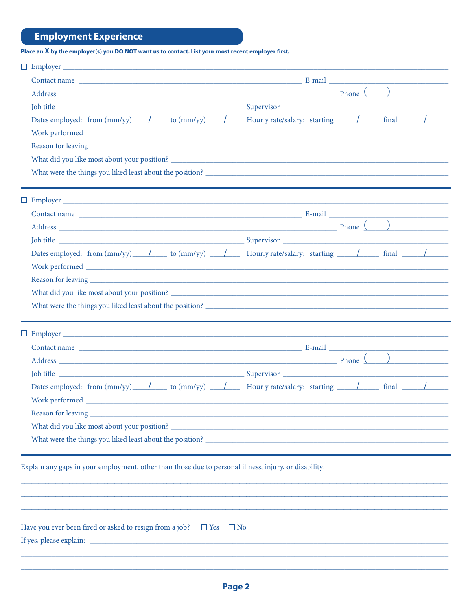# **Employment Experience**

Place an X by the employer(s) you DO NOT want us to contact. List your most recent employer first.

| $\Box$ Employer $\Box$                                                                                                                                                                                                         |           |  |  |
|--------------------------------------------------------------------------------------------------------------------------------------------------------------------------------------------------------------------------------|-----------|--|--|
|                                                                                                                                                                                                                                |           |  |  |
| Address Phone (Particular 2019) and the set of the set of the set of the set of the set of the set of the set of the set of the set of the set of the set of the set of the set of the set of the set of the set of the set of |           |  |  |
|                                                                                                                                                                                                                                |           |  |  |
| Dates employed: from $\text{(mm/yy)}$ / to $\text{(mm/yy)}$ / Hourly rate/salary: starting / final / final                                                                                                                     |           |  |  |
|                                                                                                                                                                                                                                |           |  |  |
|                                                                                                                                                                                                                                |           |  |  |
|                                                                                                                                                                                                                                |           |  |  |
|                                                                                                                                                                                                                                |           |  |  |
|                                                                                                                                                                                                                                |           |  |  |
|                                                                                                                                                                                                                                |           |  |  |
|                                                                                                                                                                                                                                |           |  |  |
|                                                                                                                                                                                                                                |           |  |  |
| Dates employed: from $\text{(mm/yy)}$ $\qquad$ to $\text{(mm/yy)}$ $\qquad$ $\qquad$ Hourly rate/salary: starting $\qquad$ final $\qquad$                                                                                      |           |  |  |
|                                                                                                                                                                                                                                |           |  |  |
|                                                                                                                                                                                                                                |           |  |  |
|                                                                                                                                                                                                                                |           |  |  |
|                                                                                                                                                                                                                                |           |  |  |
|                                                                                                                                                                                                                                |           |  |  |
|                                                                                                                                                                                                                                |           |  |  |
|                                                                                                                                                                                                                                |           |  |  |
| Dates employed: from $\text{(mm/yy)}$ / to $\text{(mm/yy)}$ / Hourly rate/salary: starting / final / final                                                                                                                     |           |  |  |
|                                                                                                                                                                                                                                |           |  |  |
| Reason for leaving                                                                                                                                                                                                             |           |  |  |
|                                                                                                                                                                                                                                |           |  |  |
|                                                                                                                                                                                                                                |           |  |  |
|                                                                                                                                                                                                                                |           |  |  |
| Explain any gaps in your employment, other than those due to personal illness, injury, or disability.                                                                                                                          |           |  |  |
|                                                                                                                                                                                                                                |           |  |  |
|                                                                                                                                                                                                                                |           |  |  |
| Have you ever been fired or asked to resign from a job? $\square$ Yes                                                                                                                                                          | $\Box$ No |  |  |
|                                                                                                                                                                                                                                |           |  |  |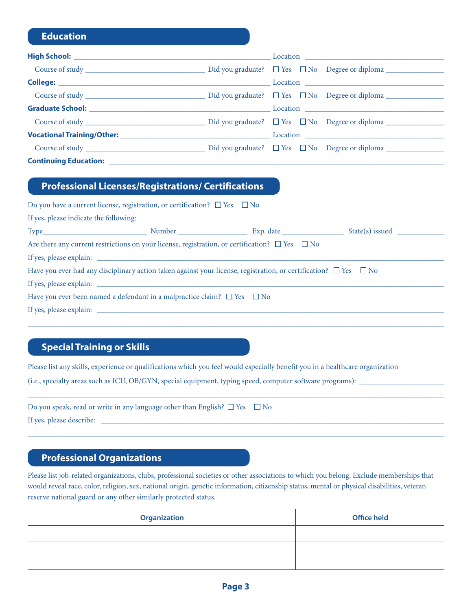# **Education**

| <b>Continuing Education:</b> <u>_____________</u> |  |
|---------------------------------------------------|--|

# **Professional Licenses/Registrations/ Certifications**

|                                        | Do you have a current license, registration, or certification? $\square$ Yes $\square$ No                                        |  |
|----------------------------------------|----------------------------------------------------------------------------------------------------------------------------------|--|
| If yes, please indicate the following: |                                                                                                                                  |  |
|                                        |                                                                                                                                  |  |
|                                        | Are there any current restrictions on your license, registration, or certification? $\square$ Yes $\square$ No                   |  |
|                                        |                                                                                                                                  |  |
|                                        | Have you ever had any disciplinary action taken against your license, registration, or certification? $\square$ Yes $\square$ No |  |
|                                        |                                                                                                                                  |  |
|                                        | Have you ever been named a defendant in a malpractice claim? $\square$ Yes $\square$ No                                          |  |
|                                        |                                                                                                                                  |  |
|                                        |                                                                                                                                  |  |

# **Special Training or Skills**

Please list any skills, experience or qualifications which you feel would especially benefit you in a healthcare organization

(i.e., specialty areas such as ICU, OB/GYN, special equipment, typing speed, computer software programs): \_

| Do you speak, read or write in any language other than English? $\Box$ Yes $\Box$ No |  |
|--------------------------------------------------------------------------------------|--|
| If yes, please describe:                                                             |  |

## **Professional Organizations**

Please list job-related organizations, clubs, professional societies or other associations to which you belong. Exclude memberships that would reveal race, color, religion, sex, national origin, genetic information, citizenship status, mental or physical disabilities, veteran reserve national guard or any other similarly protected status.

\_\_\_\_\_\_\_\_\_\_\_\_\_\_\_\_\_\_\_\_\_\_\_\_\_\_\_\_\_\_\_\_\_\_\_\_\_\_\_\_\_\_\_\_\_\_\_\_\_\_\_\_\_\_\_\_\_\_\_\_\_\_\_\_\_\_\_\_\_\_\_\_\_\_\_\_\_\_\_\_\_\_\_\_\_\_\_\_\_\_\_\_\_\_\_\_\_\_\_\_\_\_\_\_\_\_\_\_

\_\_\_\_\_\_\_\_\_\_\_\_\_\_\_\_\_\_\_\_\_\_\_\_\_\_\_\_\_\_\_\_\_\_\_\_\_\_\_\_\_\_\_\_\_\_\_\_\_\_\_\_\_\_\_\_\_\_\_\_\_\_\_\_\_\_\_\_\_\_\_\_\_\_\_\_\_\_\_\_\_\_\_\_\_\_\_\_\_\_\_\_\_\_\_\_\_\_\_\_\_\_\_\_\_\_\_\_

| <b>Organization</b> | <b>Office held</b> |
|---------------------|--------------------|
|                     |                    |
|                     |                    |
|                     |                    |